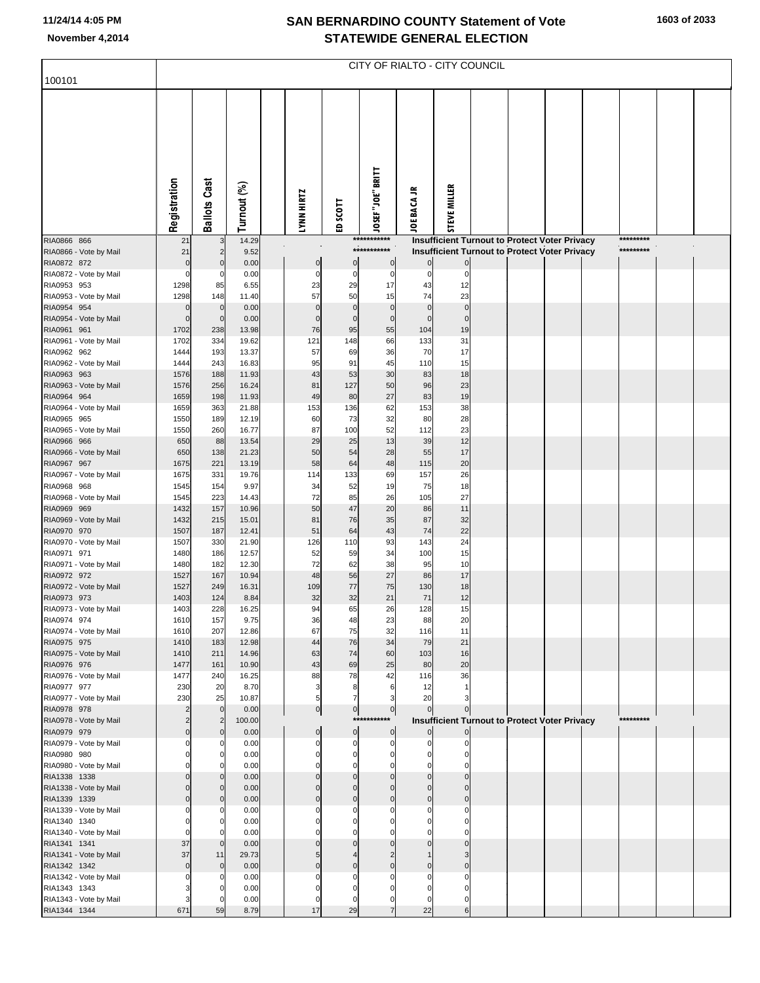## **SAN BERNARDINO COUNTY Statement of Vote November 4,2014 STATEWIDE GENERAL ELECTION**

| 100101                                 | CITY OF RIALTO - CITY COUNCIL |                    |                |  |                   |                |                     |                 |                                                                                                       |  |  |  |  |           |  |
|----------------------------------------|-------------------------------|--------------------|----------------|--|-------------------|----------------|---------------------|-----------------|-------------------------------------------------------------------------------------------------------|--|--|--|--|-----------|--|
|                                        |                               |                    |                |  |                   |                |                     |                 |                                                                                                       |  |  |  |  |           |  |
|                                        |                               |                    |                |  |                   |                |                     |                 |                                                                                                       |  |  |  |  |           |  |
|                                        |                               |                    |                |  |                   |                |                     |                 |                                                                                                       |  |  |  |  |           |  |
|                                        |                               |                    |                |  |                   |                |                     |                 |                                                                                                       |  |  |  |  |           |  |
|                                        |                               |                    |                |  |                   |                |                     |                 |                                                                                                       |  |  |  |  |           |  |
|                                        |                               |                    |                |  |                   |                |                     |                 |                                                                                                       |  |  |  |  |           |  |
|                                        |                               | Cast               |                |  |                   |                |                     | ≒               |                                                                                                       |  |  |  |  |           |  |
|                                        |                               |                    |                |  |                   |                |                     |                 |                                                                                                       |  |  |  |  |           |  |
|                                        | Registration                  | <b>Ballots</b>     | Turnout (%)    |  | <b>LYNN HIRTZ</b> | SCOTT          | JOSEF"JOE" BRITT    | <b>JOE BACA</b> | STEVE MILLER                                                                                          |  |  |  |  |           |  |
|                                        |                               |                    |                |  |                   | e              | ***********         |                 |                                                                                                       |  |  |  |  | ********* |  |
| RIA0866 866<br>RIA0866 - Vote by Mail  | 21<br>21                      |                    | 14.29<br>9.52  |  |                   |                | ***********         |                 | <b>Insufficient Turnout to Protect Voter Privacy</b><br>Insufficient Turnout to Protect Voter Privacy |  |  |  |  | ********* |  |
| RIA0872 872                            | $\mathbf 0$                   | $\Omega$           | 0.00           |  | $\mathbf 0$       | 0              | $\mathbf 0$         | $\Omega$        | $\overline{0}$                                                                                        |  |  |  |  |           |  |
| RIA0872 - Vote by Mail<br>RIA0953 953  | O                             | 0<br>85            | 0.00<br>6.55   |  | 0                 | 0<br>29        | 0<br>17             | $\Omega$<br>43  | 0                                                                                                     |  |  |  |  |           |  |
| RIA0953 - Vote by Mail                 | 1298<br>1298                  | 148                | 11.40          |  | 23<br>57          | 50             | 15                  | 74              | 12<br>23                                                                                              |  |  |  |  |           |  |
| RIA0954 954                            | $\mathbf 0$                   | $\mathbf 0$        | 0.00           |  | $\mathbf 0$       | $\mathbf 0$    | $\mathbf 0$         | $\mathbf{0}$    | $\mathbf 0$                                                                                           |  |  |  |  |           |  |
| RIA0954 - Vote by Mail<br>RIA0961 961  | $\Omega$<br>1702              | $\mathbf 0$<br>238 | 0.00<br>13.98  |  | $\Omega$<br>76    | $\Omega$<br>95 | $\mathbf 0$<br>55   | $\Omega$<br>104 | $\mathbf 0$<br>19                                                                                     |  |  |  |  |           |  |
| RIA0961 - Vote by Mail                 | 1702                          | 334                | 19.62          |  | 121               | 148            | 66                  | 133             | 31                                                                                                    |  |  |  |  |           |  |
| RIA0962 962                            | 1444                          | 193                | 13.37          |  | 57                | 69             | 36                  | 70              | 17                                                                                                    |  |  |  |  |           |  |
| RIA0962 - Vote by Mail<br>RIA0963 963  | 1444<br>1576                  | 243<br>188         | 16.83<br>11.93 |  | 95<br>43          | 91<br>53       | 45<br>30            | 110<br>83       | 15<br>18                                                                                              |  |  |  |  |           |  |
| RIA0963 - Vote by Mail                 | 1576                          | 256                | 16.24          |  | 81                | 127            | 50                  | 96              | 23                                                                                                    |  |  |  |  |           |  |
| RIA0964 964                            | 1659                          | 198                | 11.93          |  | 49                | 80             | 27                  | 83              | 19                                                                                                    |  |  |  |  |           |  |
| RIA0964 - Vote by Mail<br>RIA0965 965  | 1659<br>1550                  | 363<br>189         | 21.88<br>12.19 |  | 153<br>60         | 136<br>73      | 62<br>32            | 153<br>80       | 38<br>28                                                                                              |  |  |  |  |           |  |
| RIA0965 - Vote by Mail                 | 1550                          | 260                | 16.77          |  | 87                | 100            | 52                  | 112             | 23                                                                                                    |  |  |  |  |           |  |
| RIA0966 966                            | 650                           | 88                 | 13.54          |  | 29                | 25             | 13                  | 39              | 12                                                                                                    |  |  |  |  |           |  |
| RIA0966 - Vote by Mail<br>RIA0967 967  | 650<br>1675                   | 138<br>221         | 21.23<br>13.19 |  | 50<br>58          | 54<br>64       | 28<br>48            | 55<br>115       | 17<br>20                                                                                              |  |  |  |  |           |  |
| RIA0967 - Vote by Mail                 | 1675                          | 331                | 19.76          |  | 114               | 133            | 69                  | 157             | 26                                                                                                    |  |  |  |  |           |  |
| RIA0968 968                            | 1545                          | 154                | 9.97           |  | 34                | 52             | 19                  | 75              | 18                                                                                                    |  |  |  |  |           |  |
| RIA0968 - Vote by Mail<br>RIA0969 969  | 1545<br>1432                  | 223<br>157         | 14.43<br>10.96 |  | 72<br>50          | 85<br>47       | 26<br>20            | 105<br>86       | 27<br>11                                                                                              |  |  |  |  |           |  |
| RIA0969 - Vote by Mail                 | 1432                          | 215                | 15.01          |  | 81                | 76             | 35                  | 87              | 32                                                                                                    |  |  |  |  |           |  |
| RIA0970 970<br>RIA0970 - Vote by Mail  | 1507                          | 187<br>330         | 12.41<br>21.90 |  | 51                | 64<br>110      | 43<br>93            | 74<br>143       | 22<br>24                                                                                              |  |  |  |  |           |  |
| RIA0971 971                            | 1507<br>1480                  | 186                | 12.57          |  | 126<br>52         | 59             | 34                  | 100             | 15                                                                                                    |  |  |  |  |           |  |
| RIA0971 - Vote by Mail                 | 1480                          | 182                | 12.30          |  | 72                | 62             | 38                  | 95              | 10                                                                                                    |  |  |  |  |           |  |
| RIA0972 972<br>RIA0972 - Vote by Mail  | 1527<br>1527                  | 167<br>249         | 10.94<br>16.31 |  | 48<br>109         | 56<br>77       | 27<br>75            | 86<br>130       | 17<br>18                                                                                              |  |  |  |  |           |  |
| RIA0973 973                            | 1403                          | 124                | 8.84           |  | 32                | 32             | 21                  | 71              | 12                                                                                                    |  |  |  |  |           |  |
| RIA0973 - Vote by Mail                 | 1403                          | 228                | 16.25          |  | 94                | 65             | 26                  | 128             | 15                                                                                                    |  |  |  |  |           |  |
| RIA0974 974<br>RIA0974 - Vote by Mail  | 1610<br>1610                  | 157<br>207         | 9.75<br>12.86  |  | 36<br>67          | 48<br>75       | 23<br>32            | 88<br>116       | 20<br>11                                                                                              |  |  |  |  |           |  |
| RIA0975 975                            | 1410                          | 183                | 12.98          |  | 44                | 76             | 34                  | 79              | 21                                                                                                    |  |  |  |  |           |  |
| RIA0975 - Vote by Mail                 | 1410<br>1477                  | 211<br>161         | 14.96<br>10.90 |  | 63<br>43          | 74             | 60                  | 103<br>80       | 16<br>20                                                                                              |  |  |  |  |           |  |
| RIA0976 976<br>RIA0976 - Vote by Mail  | 1477                          | 240                | 16.25          |  | 88                | 69<br>78       | 25<br>42            | 116             | 36                                                                                                    |  |  |  |  |           |  |
| RIA0977 977                            | 230                           | 20                 | 8.70           |  | 3                 | 8              | 6                   | 12              |                                                                                                       |  |  |  |  |           |  |
| RIA0977 - Vote by Mail<br>RIA0978 978  | 230                           | 25<br>$\mathbf 0$  | 10.87<br>0.00  |  | 5<br> 0           | $\overline{0}$ | 3<br>$\overline{0}$ | 20<br>$\Omega$  |                                                                                                       |  |  |  |  |           |  |
| RIA0978 - Vote by Mail                 |                               |                    | 100.00         |  |                   |                | ***********         |                 | <b>Insufficient Turnout to Protect Voter Privacy</b>                                                  |  |  |  |  | ********* |  |
| RIA0979 979                            |                               | $\mathbf 0$        | 0.00           |  | $\mathbf 0$       | $\overline{0}$ | $\mathbf 0$         |                 | $\overline{0}$                                                                                        |  |  |  |  |           |  |
| RIA0979 - Vote by Mail<br>RIA0980 980  |                               |                    | 0.00<br>0.00   |  | 0<br>0            | 0              | 0                   |                 | $\Omega$                                                                                              |  |  |  |  |           |  |
| RIA0980 - Vote by Mail                 |                               |                    | 0.00           |  | 0                 |                |                     |                 |                                                                                                       |  |  |  |  |           |  |
| RIA1338 1338                           |                               |                    | 0.00           |  |                   |                |                     |                 |                                                                                                       |  |  |  |  |           |  |
| RIA1338 - Vote by Mail<br>RIA1339 1339 |                               |                    | 0.00<br>0.00   |  | 0                 | 0              | C                   | $\Omega$        | $\Omega$                                                                                              |  |  |  |  |           |  |
| RIA1339 - Vote by Mail                 |                               |                    | 0.00           |  |                   |                |                     |                 |                                                                                                       |  |  |  |  |           |  |
| RIA1340 1340                           |                               |                    | 0.00           |  |                   |                |                     |                 |                                                                                                       |  |  |  |  |           |  |
| RIA1340 - Vote by Mail<br>RIA1341 1341 | 37                            | $\Omega$           | 0.00<br>0.00   |  |                   |                |                     |                 |                                                                                                       |  |  |  |  |           |  |
| RIA1341 - Vote by Mail                 | 37                            | 11                 | 29.73          |  |                   |                |                     |                 |                                                                                                       |  |  |  |  |           |  |
| RIA1342 1342                           | $\Omega$                      | $\mathbf 0$        | 0.00           |  |                   |                |                     |                 |                                                                                                       |  |  |  |  |           |  |
| RIA1342 - Vote by Mail<br>RIA1343 1343 |                               |                    | 0.00<br>0.00   |  | 0<br>C            |                |                     |                 |                                                                                                       |  |  |  |  |           |  |
| RIA1343 - Vote by Mail                 |                               |                    | 0.00           |  | 0                 | 0              | 0                   | 0               | $\Omega$                                                                                              |  |  |  |  |           |  |
| RIA1344 1344                           | 671                           | 59                 | 8.79           |  | 17                | 29             | $\overline{7}$      | 22              | 6                                                                                                     |  |  |  |  |           |  |